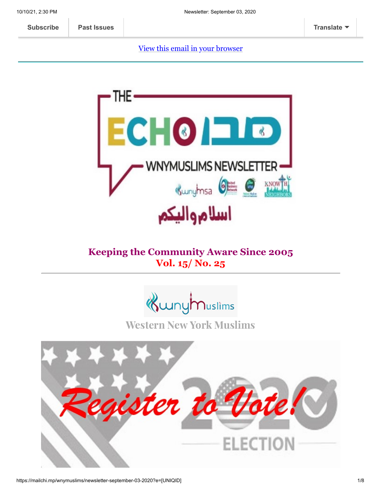[View this email in your browser](https://mailchi.mp/wnymuslims/newsletter-september-03-2020?e=[UNIQID])



## **Keeping the Community Aware Since 2005 Vol. 15/ No. 25**



Western New York Muslims

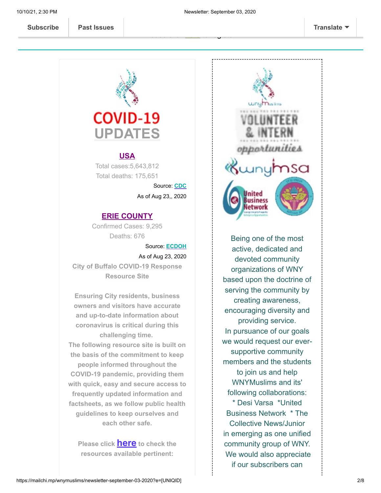**Exercise your right as an American citizen** Please click [here](https://www.ny.gov/services/register-vote) to register

**[Subscribe](http://eepurl.com/b19N3D) [Past Issues](https://us13.campaign-archive.com/home/?u=19ed6f05ad8527220a10faa63&id=636f885f5f) [Translate](javascript:;)**



#### **USA**

Total cases:5,643,812 Total deaths: 175,651

> Source: **[CDC](https://wnymuslims.us13.list-manage.com/track/click?u=19ed6f05ad8527220a10faa63&id=c48cd8d620&e=375b9d9dab)** As of Aug 23,, 2020

### **ERIE COUNTY**

Confirmed Cases: 9,295 Deaths: 676

Source: **[ECDOH](https://wnymuslims.us13.list-manage.com/track/click?u=19ed6f05ad8527220a10faa63&id=cbc3a77daa&e=375b9d9dab)** As of Aug 23, 2020 **City of Buffalo COVID-19 Response Resource Site**

**Ensuring City residents, business owners and visitors have accurate and up-to-date information about coronavirus is critical during this challenging time. The following resource site is built on the basis of the commitment to keep people informed throughout the COVID-19 pandemic, providing them with quick, easy and secure access to frequently updated information and factsheets, as we follow public health guidelines to keep ourselves and each other safe.**

**Please click [here](https://covid19.buffalony.gov/) to check the resources available pertinent:**



Being one of the most active, dedicated and devoted community organizations of WNY based upon the doctrine of serving the community by creating awareness, encouraging diversity and providing service. In pursuance of our goals we would request our eversupportive community members and the students to join us and help WNYMuslims and its' following collaborations: \* Desi Varsa \*United Business Network \* The Collective News/Junior in emerging as one unified community group of WNY. We would also appreciate if our subscribers can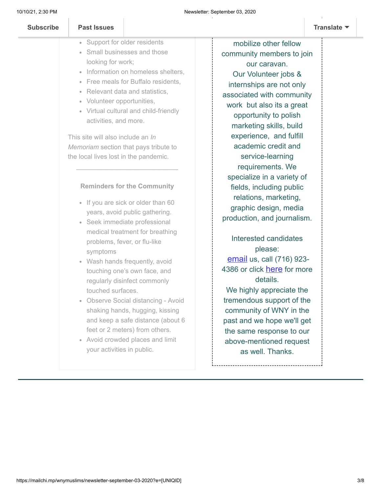[Health and m](https://us13.campaign-archive.com/home/?u=19ed6f05ad8527220a10faa63&id=636f885f5f)ental health

| <b>Subscribe</b> | <b>Past Issues</b> | Translate $\blacktriangledown$ |
|------------------|--------------------|--------------------------------|
|                  |                    |                                |

| • Support for older residents         | mobilize other fellow            |
|---------------------------------------|----------------------------------|
| • Small businesses and those          | community members to join        |
| looking for work;                     | our caravan.                     |
| • Information on homeless shelters,   | Our Volunteer jobs &             |
| • Free meals for Buffalo residents,   | internships are not only         |
| • Relevant data and statistics,       | associated with community        |
| • Volunteer opportunities,            | work but also its a great        |
| • Virtual cultural and child-friendly | opportunity to polish            |
| activities, and more.                 | marketing skills, build          |
| This site will also include an In     | experience, and fulfill          |
|                                       | academic credit and              |
| Memoriam section that pays tribute to |                                  |
| the local lives lost in the pandemic. | service-learning                 |
|                                       | requirements. We                 |
|                                       | specialize in a variety of       |
| <b>Reminders for the Community</b>    | fields, including public         |
| • If you are sick or older than 60    | relations, marketing,            |
| years, avoid public gathering.        | graphic design, media            |
| • Seek immediate professional         | production, and journalism.      |
| medical treatment for breathing       |                                  |
| problems, fever, or flu-like          | Interested candidates            |
| symptoms                              | please:                          |
| • Wash hands frequently, avoid        | <b>email</b> us, call (716) 923- |
| touching one's own face, and          | 4386 or click here for more      |
| regularly disinfect commonly          | details.                         |
| touched surfaces.                     | We highly appreciate the         |
| • Observe Social distancing - Avoid   | tremendous support of the        |
| shaking hands, hugging, kissing       | community of WNY in the          |
| and keep a safe distance (about 6     | past and we hope we'll get       |
| feet or 2 meters) from others.        | the same response to our         |
| • Avoid crowded places and limit      | above-mentioned request          |
| your activities in public.            | as well. Thanks.                 |
|                                       |                                  |
|                                       |                                  |
|                                       |                                  |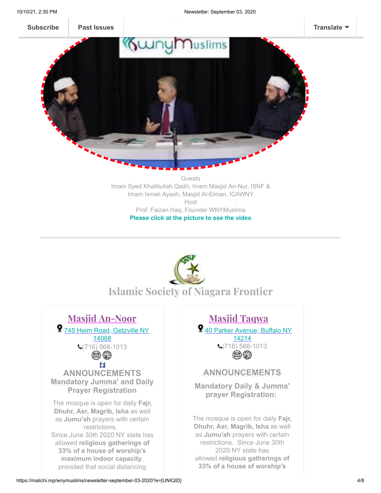

Guests Imam Syed Khallilullah Qadri, Imam Masjid An-Nur, ISNF & Imam Ismail Ayash, Masjid Al-Eiman, ICAWNY Host Prof. Faizan Haq, Founder WNYMuslims **Please click at the picture to see the video**



# Islamic Society of Niagara Frontier

Masjid An-Noor [745 Heim Road, Getzville NY](https://www.google.com/maps/place/ISNF+Masjid+An-Noor,+Amherst/@43.0204858,-78.7461322,17z/data=!3m1!4b1!4m5!3m4!1s0x89d376b45c29e355:0x2384d34a4c1ffd88!8m2!3d43.0204858!4d-78.7439435) 14068 (716) 568-1013 00 B **ANNOUNCEMENTS Mandatory Jumma' and Daily Prayer Registration** The mosque is open for daily **Fajr, Dhuhr, Asr, Magrib, Isha** as well as **Jumu'ah** prayers with certain restrictions. Since June 30th 2020 NY state has

allowed **religious gatherings of 33% of a house of worship's maximum indoor capacity**, provided that social distancing

Masjid Taqwa [40 Parker Avenue, Buffalo NY](https://www.google.com/maps/place/Masjid+Taqwa/@43.3093171,-79.5980345,9z/data=!4m8!1m2!2m1!1sMasjid+taqwa!3m4!1s0x89d36d559f03d805:0x1c7451c1c1c01c3d!8m2!3d42.940434!4d-78.8394265) 14214 (716) 568-1013  $\circledcirc$ 

### **ANNOUNCEMENTS**

**Mandatory Daily & Jumma' prayer Registration:**

The mosque is open for daily **Fajr, Dhuhr, Asr, Magrib, Isha** as well as **Jumu'ah** prayers with certain restrictions. Since June 30th 2020 NY state has allowed **religious gatherings of 33% of a house of worship's**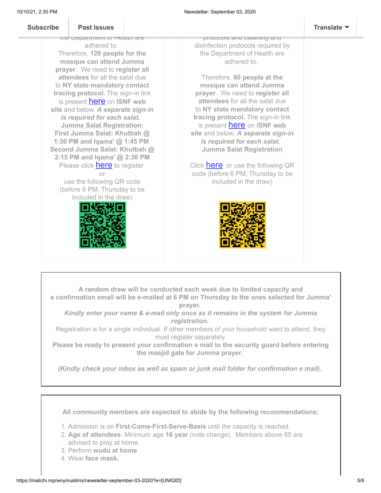pr[otocols and cleanin](https://us13.campaign-archive.com/home/?u=19ed6f05ad8527220a10faa63&id=636f885f5f)g and

| trie Department of Health are<br>protocois and cleaning and<br>adhered to.<br>disinfection protocols required by<br>Therefore, 120 people for the<br>the Department of Health are<br>mosque can attend Jumma<br>adhered to.<br>prayer. We need to register all<br>attendees for all the salat due<br>Therefore, 60 people at the<br>to NY state mandatory contact<br>mosque can attend Jumma<br>tracing protocol. The sign-in link<br>prayer. We need to register all<br>is present <b>here</b> on ISNF web<br>attendees for all the salat due<br>to NY state mandatory contact<br>site and below. A separate sign-in<br>tracing protocol. The sign-in link<br>is required for each salat.<br>is present <b>here</b> on <b>ISNF</b> web<br><b>Jumma Salat Registration:</b><br>site and below. A separate sign-in<br>First Jumma Salat: Khutbah @<br>1:30 PM and Iqama' @ 1:45 PM<br>is required for each salat.<br>Second Jumma Salat: Khutbah @<br><b>Jumma Salat Registration</b><br>2:15 PM and Iqama' @ 2:30 PM<br>Please click <b>here</b> to register<br>Click <b>here</b> or use the following QR<br>code (before 6 PM, Thursday to be<br>or<br>use the following QR code<br>included in the draw)<br>(before 6 PM, Thursday to be<br>included in the draw) |
|---------------------------------------------------------------------------------------------------------------------------------------------------------------------------------------------------------------------------------------------------------------------------------------------------------------------------------------------------------------------------------------------------------------------------------------------------------------------------------------------------------------------------------------------------------------------------------------------------------------------------------------------------------------------------------------------------------------------------------------------------------------------------------------------------------------------------------------------------------------------------------------------------------------------------------------------------------------------------------------------------------------------------------------------------------------------------------------------------------------------------------------------------------------------------------------------------------------------------------------------------------------------|
|                                                                                                                                                                                                                                                                                                                                                                                                                                                                                                                                                                                                                                                                                                                                                                                                                                                                                                                                                                                                                                                                                                                                                                                                                                                                     |

**A random draw will be conducted each week due to limited capacity and a confirmation email will be e-mailed at 6 PM on Thursday to the ones selected for Jumma' prayer.**

*Kindly enter your name & e-mail only once as it remains in the system for Jumma registration.*

Registration is for a single individual. If other members of your household want to attend, they must register separately.

**Please be ready to present your confirmation e mail to the security guard before entering the masjid gate for Jumma prayer.**

*(Kindly check your inbox as well as spam or junk mail folder for confirmation e mail).*

**All community members are expected to abide by the following recommendations;**

1. Admission is on **First-Come-First-Serve-Basis** until the capacity is reached.

- 2. **Age of attendees**: Minimum age **16 year** (note change). Members above 65 are advised to pray at home.
- 3. Perform **wudu at home**
- 4. Wear **face mask.**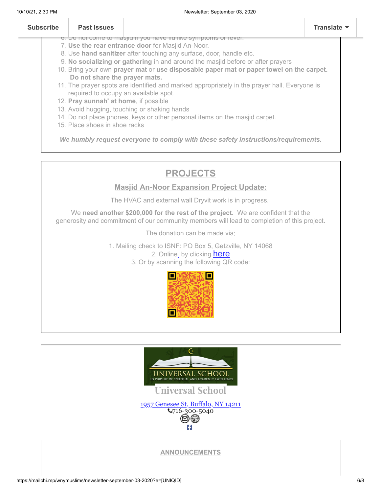| <b>Subscribe</b> | Past Issues                           |                                                                                              | Translate $\blacktriangledown$ |
|------------------|---------------------------------------|----------------------------------------------------------------------------------------------|--------------------------------|
|                  |                                       | o. Do not come to masjid if you have no like symptoms or lever.                              |                                |
|                  |                                       | 7. Use the rear entrance door for Masjid An-Noor.                                            |                                |
|                  |                                       | 8. Use hand sanitizer after touching any surface, door, handle etc.                          |                                |
|                  |                                       | 9. No socializing or gathering in and around the masjid before or after prayers              |                                |
|                  | Do not share the prayer mats.         | 10. Bring your own prayer mat or use disposable paper mat or paper towel on the carpet.      |                                |
|                  | required to occupy an available spot. | 11. The prayer spots are identified and marked appropriately in the prayer hall. Everyone is |                                |
|                  | 12. Pray sunnah' at home, if possible |                                                                                              |                                |
|                  |                                       | 13. Avoid hugging, touching or shaking hands                                                 |                                |
|                  |                                       | 14. Do not place phones, keys or other personal items on the masjid carpet.                  |                                |
|                  | 15. Place shoes in shoe racks         |                                                                                              |                                |
|                  |                                       | We humbly request everyone to comply with these safety instructions/requirements.            |                                |
|                  |                                       |                                                                                              |                                |



### **Masjid An-Noor Expansion Project Update:**

The HVAC and external wall Dryvit work is in progress.

We **need another \$200,000 for the rest of the project.** We are confident that the generosity and commitment of our community members will lead to completion of this project.

The donation can be made via;

1. Mailing check to ISNF: PO Box 5, Getzville, NY 14068 2. Online\_by clicking **[here](https://us.mohid.co/ny/buffalo/isnf/masjid/online/donation)** 3. Or by scanning the following QR code:





**ANNOUNCEMENTS**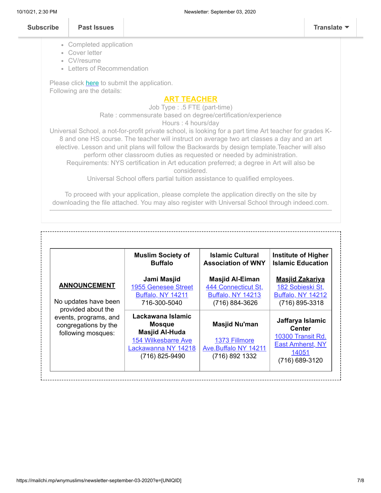$\begin{array}{c} \hline \end{array}$ 

| <b>Subscribe</b> | <b>Past Issues</b>                                                                      |                                                                                                                                                                                                                                                                                                                                                                                                                                                                                                 | <b>Translate</b> |
|------------------|-----------------------------------------------------------------------------------------|-------------------------------------------------------------------------------------------------------------------------------------------------------------------------------------------------------------------------------------------------------------------------------------------------------------------------------------------------------------------------------------------------------------------------------------------------------------------------------------------------|------------------|
|                  | • Completed application<br>• Cover letter<br>• CV/resume<br>• Letters of Recommendation |                                                                                                                                                                                                                                                                                                                                                                                                                                                                                                 |                  |
|                  | Please click here to submit the application.                                            |                                                                                                                                                                                                                                                                                                                                                                                                                                                                                                 |                  |
|                  | Following are the details:                                                              |                                                                                                                                                                                                                                                                                                                                                                                                                                                                                                 |                  |
|                  |                                                                                         | <b>ART TEACHER</b>                                                                                                                                                                                                                                                                                                                                                                                                                                                                              |                  |
|                  |                                                                                         | Job Type : .5 FTE (part-time)                                                                                                                                                                                                                                                                                                                                                                                                                                                                   |                  |
|                  |                                                                                         | Rate: commensurate based on degree/certification/experience                                                                                                                                                                                                                                                                                                                                                                                                                                     |                  |
|                  |                                                                                         | Hours: 4 hours/day                                                                                                                                                                                                                                                                                                                                                                                                                                                                              |                  |
|                  |                                                                                         | Universal School, a not-for-profit private school, is looking for a part time Art teacher for grades K-<br>8 and one HS course. The teacher will instruct on average two art classes a day and an art<br>elective. Lesson and unit plans will follow the Backwards by design template. Teacher will also<br>perform other classroom duties as requested or needed by administration.<br>Requirements: NYS certification in Art education preferred; a degree in Art will also be<br>considered. |                  |
|                  |                                                                                         | Universal School offers partial tuition assistance to qualified employees.                                                                                                                                                                                                                                                                                                                                                                                                                      |                  |
|                  |                                                                                         | To proceed with your application, please complete the application directly on the site by<br>downloading the file attached. You may also register with Universal School through indeed.com.                                                                                                                                                                                                                                                                                                     |                  |

|                                                                                           | <b>Muslim Society of</b><br><b>Buffalo</b>                                                                                  | <b>Islamic Cultural</b><br><b>Association of WNY</b>                                        | <b>Institute of Higher</b><br><b>Islamic Education</b>                                                       |
|-------------------------------------------------------------------------------------------|-----------------------------------------------------------------------------------------------------------------------------|---------------------------------------------------------------------------------------------|--------------------------------------------------------------------------------------------------------------|
| <b>ANNOUNCEMENT</b><br>No updates have been                                               | Jami Masjid<br><b>1955 Genesee Street</b><br><b>Buffalo, NY 14211</b><br>716-300-5040                                       | <b>Masjid Al-Eiman</b><br>444 Connecticut St,<br><b>Buffalo, NY 14213</b><br>(716) 884-3626 | <u>Masjid Zakariya</u><br>182 Sobieski St,<br><b>Buffalo, NY 14212</b><br>(716) 895-3318                     |
| provided about the<br>events, programs, and<br>congregations by the<br>following mosques: | Lackawana Islamic<br><b>Mosque</b><br><b>Masjid Al-Huda</b><br>154 Wilkesbarre Ave<br>Lackawanna NY 14218<br>(716) 825-9490 | <b>Masjid Nu'man</b><br>1373 Fillmore<br>Ave.Buffalo NY 14211<br>(716) 892 1332             | Jaffarya Islamic<br><b>Center</b><br>10300 Transit Rd.<br><b>East Amherst, NY</b><br>14051<br>(716) 689-3120 |